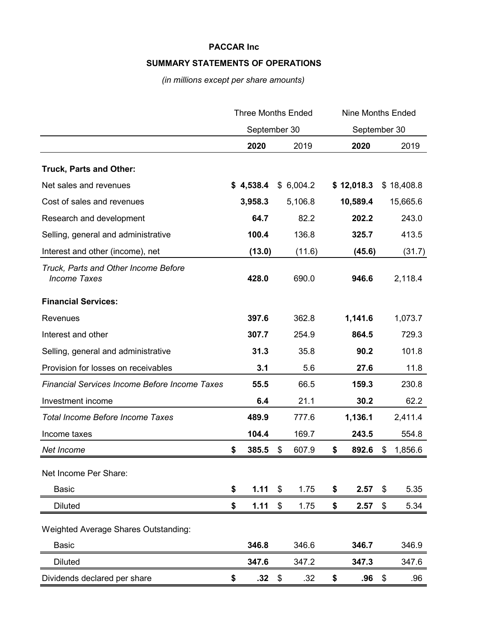# **SUMMARY STATEMENTS OF OPERATIONS**

*(in millions except per share amounts)*

|                                                             | <b>Three Months Ended</b> |           |    | <b>Nine Months Ended</b><br>September 30 |    |            |    |            |
|-------------------------------------------------------------|---------------------------|-----------|----|------------------------------------------|----|------------|----|------------|
|                                                             | September 30              |           |    |                                          |    |            |    |            |
|                                                             |                           | 2020      |    | 2019                                     |    | 2020       |    | 2019       |
| Truck, Parts and Other:                                     |                           |           |    |                                          |    |            |    |            |
| Net sales and revenues                                      |                           | \$4,538.4 |    | \$6,004.2                                |    | \$12,018.3 |    | \$18,408.8 |
| Cost of sales and revenues                                  |                           | 3,958.3   |    | 5,106.8                                  |    | 10,589.4   |    | 15,665.6   |
| Research and development                                    |                           | 64.7      |    | 82.2                                     |    | 202.2      |    | 243.0      |
| Selling, general and administrative                         |                           | 100.4     |    | 136.8                                    |    | 325.7      |    | 413.5      |
| Interest and other (income), net                            |                           | (13.0)    |    | (11.6)                                   |    | (45.6)     |    | (31.7)     |
| Truck, Parts and Other Income Before<br><b>Income Taxes</b> |                           | 428.0     |    | 690.0                                    |    | 946.6      |    | 2,118.4    |
| <b>Financial Services:</b>                                  |                           |           |    |                                          |    |            |    |            |
| <b>Revenues</b>                                             |                           | 397.6     |    | 362.8                                    |    | 1,141.6    |    | 1,073.7    |
| Interest and other                                          |                           | 307.7     |    | 254.9                                    |    | 864.5      |    | 729.3      |
| Selling, general and administrative                         |                           | 31.3      |    | 35.8                                     |    | 90.2       |    | 101.8      |
| Provision for losses on receivables                         |                           | 3.1       |    | 5.6                                      |    | 27.6       |    | 11.8       |
| <b>Financial Services Income Before Income Taxes</b>        |                           | 55.5      |    | 66.5                                     |    | 159.3      |    | 230.8      |
| Investment income                                           |                           | 6.4       |    | 21.1                                     |    | 30.2       |    | 62.2       |
| <b>Total Income Before Income Taxes</b>                     |                           | 489.9     |    | 777.6                                    |    | 1,136.1    |    | 2,411.4    |
| Income taxes                                                |                           | 104.4     |    | 169.7                                    |    | 243.5      |    | 554.8      |
| Net Income                                                  | \$                        | 385.5     | \$ | 607.9                                    | \$ | 892.6      | \$ | 1,856.6    |
| Net Income Per Share:                                       |                           |           |    |                                          |    |            |    |            |
| <b>Basic</b>                                                | \$                        | 1.11      | \$ | 1.75                                     | \$ | 2.57       | \$ | 5.35       |
| <b>Diluted</b>                                              | \$                        | 1.11      | \$ | 1.75                                     | \$ | 2.57       | \$ | 5.34       |
|                                                             |                           |           |    |                                          |    |            |    |            |
| Weighted Average Shares Outstanding:                        |                           |           |    |                                          |    |            |    |            |
| <b>Basic</b>                                                |                           | 346.8     |    | 346.6                                    |    | 346.7      |    | 346.9      |
| <b>Diluted</b>                                              |                           | 347.6     |    | 347.2                                    |    | 347.3      |    | 347.6      |
| Dividends declared per share                                | \$                        | .32       | \$ | .32                                      | \$ | .96        | \$ | .96        |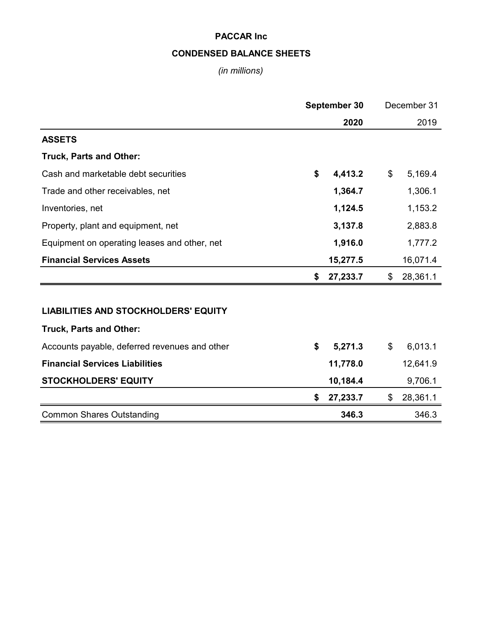# **CONDENSED BALANCE SHEETS**

# *(in millions)*

|                                               | September 30 |          |    | December 31 |  |  |
|-----------------------------------------------|--------------|----------|----|-------------|--|--|
|                                               |              | 2020     |    | 2019        |  |  |
| <b>ASSETS</b>                                 |              |          |    |             |  |  |
| Truck, Parts and Other:                       |              |          |    |             |  |  |
| Cash and marketable debt securities           | \$           | 4,413.2  | \$ | 5,169.4     |  |  |
| Trade and other receivables, net              |              | 1,364.7  |    | 1,306.1     |  |  |
| Inventories, net                              |              | 1,124.5  |    | 1,153.2     |  |  |
| Property, plant and equipment, net            |              | 3,137.8  |    | 2,883.8     |  |  |
| Equipment on operating leases and other, net  |              | 1,916.0  |    | 1,777.2     |  |  |
| <b>Financial Services Assets</b>              |              | 15,277.5 |    | 16,071.4    |  |  |
|                                               | \$           | 27,233.7 | \$ | 28,361.1    |  |  |
|                                               |              |          |    |             |  |  |
| <b>LIABILITIES AND STOCKHOLDERS' EQUITY</b>   |              |          |    |             |  |  |
| Truck, Parts and Other:                       |              |          |    |             |  |  |
| Accounts payable, deferred revenues and other | \$           | 5,271.3  | \$ | 6,013.1     |  |  |
| <b>Financial Services Liabilities</b>         |              | 11,778.0 |    | 12,641.9    |  |  |
| <b>STOCKHOLDERS' EQUITY</b>                   |              | 10,184.4 |    | 9,706.1     |  |  |
|                                               | \$           | 27,233.7 | \$ | 28,361.1    |  |  |
| <b>Common Shares Outstanding</b>              |              | 346.3    |    | 346.3       |  |  |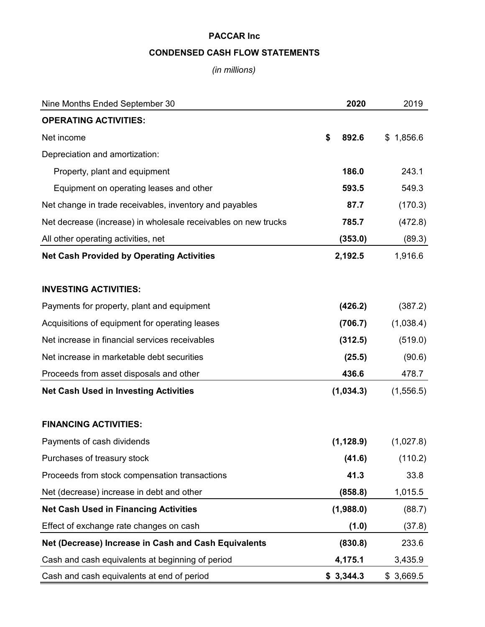# **CONDENSED CASH FLOW STATEMENTS**

*(in millions)*

| Nine Months Ended September 30                                 | 2020        | 2019      |
|----------------------------------------------------------------|-------------|-----------|
| <b>OPERATING ACTIVITIES:</b>                                   |             |           |
| Net income                                                     | \$<br>892.6 | \$1,856.6 |
| Depreciation and amortization:                                 |             |           |
| Property, plant and equipment                                  | 186.0       | 243.1     |
| Equipment on operating leases and other                        | 593.5       | 549.3     |
| Net change in trade receivables, inventory and payables        | 87.7        | (170.3)   |
| Net decrease (increase) in wholesale receivables on new trucks | 785.7       | (472.8)   |
| All other operating activities, net                            | (353.0)     | (89.3)    |
| <b>Net Cash Provided by Operating Activities</b>               | 2,192.5     | 1,916.6   |
| <b>INVESTING ACTIVITIES:</b>                                   |             |           |
| Payments for property, plant and equipment                     | (426.2)     | (387.2)   |
| Acquisitions of equipment for operating leases                 | (706.7)     | (1,038.4) |
| Net increase in financial services receivables                 | (312.5)     | (519.0)   |
| Net increase in marketable debt securities                     | (25.5)      | (90.6)    |
| Proceeds from asset disposals and other                        | 436.6       | 478.7     |
| <b>Net Cash Used in Investing Activities</b>                   | (1,034.3)   | (1,556.5) |
| <b>FINANCING ACTIVITIES:</b>                                   |             |           |
| Payments of cash dividends                                     | (1, 128.9)  | (1,027.8) |
| Purchases of treasury stock                                    | (41.6)      | (110.2)   |
| Proceeds from stock compensation transactions                  | 41.3        | 33.8      |
| Net (decrease) increase in debt and other                      | (858.8)     | 1,015.5   |
| <b>Net Cash Used in Financing Activities</b>                   | (1,988.0)   | (88.7)    |
| Effect of exchange rate changes on cash                        | (1.0)       | (37.8)    |
| Net (Decrease) Increase in Cash and Cash Equivalents           | (830.8)     | 233.6     |
| Cash and cash equivalents at beginning of period               | 4,175.1     | 3,435.9   |
| Cash and cash equivalents at end of period                     | \$3,344.3   | \$3,669.5 |